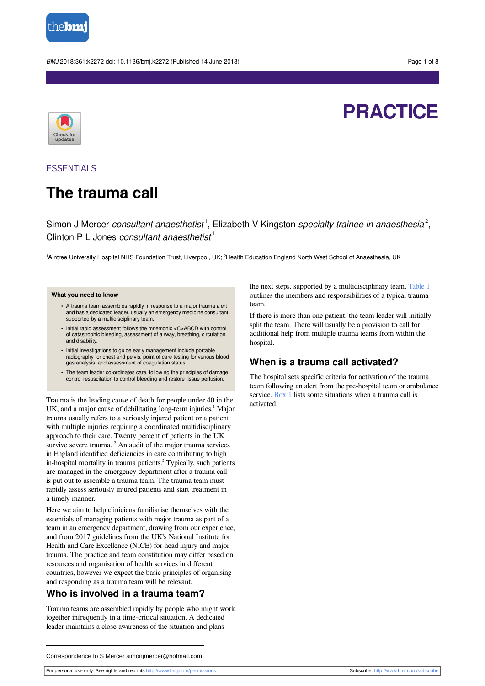

BMJ 2018;361:k2272 doi: 10.1136/bmj.k2272 (Published 14 June 2018) Page 1 of 8



# **PRACTICE**

### **ESSENTIALS**

# **The trauma call**

Simon J Mercer consultant anaesthetist<sup>1</sup>, Elizabeth V Kingston specialty trainee in anaesthesia<sup>2</sup>, Clinton P L Jones consultant anaesthetist<sup>1</sup>

1Aintree University Hospital NHS Foundation Trust, Liverpool, UK; <sup>2</sup>Health Education England North West School of Anaesthesia, UK

#### **What you need to know**

- **•** A trauma team assembles rapidly in response to a major trauma alert and has a dedicated leader, usually an emergency medicine consultant, supported by a multidisciplinary team.
- **•** Initial rapid assessment follows the mnemonic <C>ABCD with control of catastrophic bleeding, assessment of airway, breathing, circulation, and disability.
- **•** Initial investigations to guide early management include portable radiography for chest and pelvis, point of care testing for venous blood gas analysis, and assessment of coagulation status.
- **•** The team leader co-ordinates care, following the principles of damage control resuscitation to control bleeding and restore tissue perfusion.

Trauma is the leading cause of death for people under 40 in the UK, and a major cause of debilitating long-term injuries.<sup>1</sup> Major trauma usually refers to a seriously injured patient or a patient with multiple injuries requiring a coordinated multidisciplinary approach to their care. Twenty percent of patients in the UK survive severe trauma. <sup>2</sup> An audit of the major trauma services in England identified deficiencies in care contributing to high in-hospital mortality in trauma patients. 2 Typically, such patients are managed in the emergency department after a trauma call is put out to assemble a trauma team. The trauma team must rapidly assess seriously injured patients and start treatment in a timely manner.

Here we aim to help clinicians familiarise themselves with the essentials of managing patients with major trauma as part of a team in an emergency department, drawing from our experience, and from 2017 guidelines from the UK's National Institute for Health and Care Excellence (NICE) for head injury and major trauma. The practice and team constitution may differ based on resources and organisation of health services in different countries, however we expect the basic principles of organising and responding as a trauma team will be relevant.

### **Who is involved in a trauma team?**

Trauma teams are assembled rapidly by people who might work together infrequently in a time-critical situation. A dedicated leader maintains a close awareness of the situation and plans

the next steps, supported by a multidisciplinary team. [Table 1](#page-4-0) outlines the members and responsibilities of a typical trauma team.

If there is more than one patient, the team leader will initially split the team. There will usually be a provision to call for additional help from multiple trauma teams from within the hospital.

### **When is a trauma call activated?**

The hospital sets specific criteria for activation of the trauma team following an alert from the pre-hospital team or ambulance service. [Box 1](#page-1-0) lists some situations when a trauma call is activated.

Correspondence to S Mercer simonjmercer@hotmail.com

For personal use only: See rights and reprints<http://www.bmj.com/permissions> Subscribe: <http://www.bmj.com/subscribe>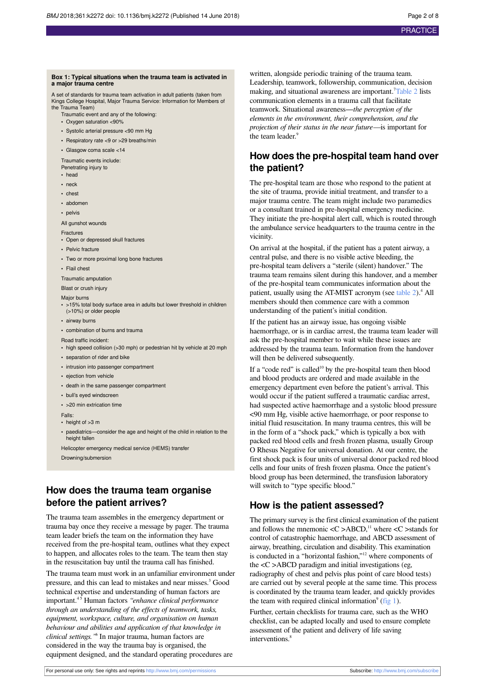#### <span id="page-1-0"></span>**Box 1: Typical situations when the trauma team is activated in a major trauma centre**

A set of standards for trauma team activation in adult patients (taken from Kings College Hospital, Major Trauma Service: Information for Members of the Trauma Team)

- Traumatic event and any of the following:
- **•** Oxygen saturation <90%
- **•** Systolic arterial pressure <90 mm Hg
- **•** Respiratory rate <9 or >29 breaths/min
- **•** Glasgow coma scale <14

Traumatic events include: Penetrating injury to

- **•** head
- **•** neck
- **•** chest
- **•** abdomen
- **•** pelvis

All gunshot wounds

- **Fractures •** Open or depressed skull fractures
- **•** Pelvic fracture
- 
- **•** Two or more proximal long bone fractures
- **•** Flail chest

Traumatic amputation

Blast or crush injury

#### Major burns

- **•** >15% total body surface area in adults but lower threshold in children (>10%) or older people
- **•** airway burns
- **•** combination of burns and trauma
- Road traffic incident:
- **•** high speed collision (>30 mph) or pedestrian hit by vehicle at 20 mph
- **•** separation of rider and bike
- **•** intrusion into passenger compartment
- **•** ejection from vehicle
- **•** death in the same passenger compartment
- **•** bull's eyed windscreen
- **•** >20 min extrication time

#### Falls:

- height of >3 m
- **•** paediatrics—consider the age and height of the child in relation to the height fallen

Helicopter emergency medical service (HEMS) transfer

Drowning/submersion

### **How does the trauma team organise before the patient arrives?**

The trauma team assembles in the emergency department or trauma bay once they receive a message by pager. The trauma team leader briefs the team on the information they have received from the pre-hospital team, outlines what they expect to happen, and allocates roles to the team. The team then stay in the resuscitation bay until the trauma call has finished.

The trauma team must work in an unfamiliar environment under pressure, and this can lead to mistakes and near misses. 3 Good technical expertise and understanding of human factors are important.4 5 Human factors *"enhance clinical performance through an understanding of the effects of teamwork, tasks, equipment, workspace, culture, and organisation on human behaviour and abilities and application of that knowledge in clinical settings."* 6 In major trauma, human factors are considered in the way the trauma bay is organised, the equipment designed, and the standard operating procedures are

written, alongside periodic training of the trauma team. Leadership, teamwork, followership, communication, decision making, and situational awareness are important.<sup>7</sup>[Table 2](#page-5-0) lists communication elements in a trauma call that facilitate teamwork. Situational awareness—*the perception of the elements in the environment, their comprehension, and the projection of their status in the near future—*is important for the team leader.<sup>9</sup>

### **How does the pre-hospital team hand over the patient?**

The pre-hospital team are those who respond to the patient at the site of trauma, provide initial treatment, and transfer to a major trauma centre. The team might include two paramedics or a consultant trained in pre-hospital emergency medicine. They initiate the pre-hospital alert call, which is routed through the ambulance service headquarters to the trauma centre in the vicinity.

On arrival at the hospital, if the patient has a patent airway, a central pulse, and there is no visible active bleeding, the pre-hospital team delivers a "sterile (silent) handover." The trauma team remains silent during this handover, and a member of the pre-hospital team communicates information about the patient, usually using the AT-MIST acronym (see [table 2](#page-5-0)).<sup>4</sup> All members should then commence care with a common understanding of the patient's initial condition.

If the patient has an airway issue, has ongoing visible haemorrhage, or is in cardiac arrest, the trauma team leader will ask the pre-hospital member to wait while these issues are addressed by the trauma team. Information from the handover will then be delivered subsequently.

If a "code red" is called<sup>10</sup> by the pre-hospital team then blood and blood products are ordered and made available in the emergency department even before the patient's arrival. This would occur if the patient suffered a traumatic cardiac arrest, had suspected active haemorrhage and a systolic blood pressure <90 mm Hg, visible active haemorrhage, or poor response to initial fluid resuscitation. In many trauma centres, this will be in the form of a "shock pack," which is typically a box with packed red blood cells and fresh frozen plasma, usually Group O Rhesus Negative for universal donation. At our centre, the first shock pack is four units of universal donor packed red blood cells and four units of fresh frozen plasma. Once the patient's blood group has been determined, the transfusion laboratory will switch to "type specific blood."

### **How is the patient assessed?**

The primary survey is the first clinical examination of the patient and follows the mnemonic  $\langle C \rangle ABCD$ ,<sup>11</sup> where  $\langle C \rangle$  stands for control of catastrophic haemorrhage, and ABCD assessment of airway, breathing, circulation and disability. This examination is conducted in a "horizontal fashion,"<sup>12</sup> where components of the  $\langle C \rangle$ ABCD paradigm and initial investigations (eg, radiography of chest and pelvis plus point of care blood tests) are carried out by several people at the same time. This process is coordinated by the trauma team leader, and quickly provides the team with required clinical information $9$  ([fig 1\)](#page-7-0).

Further, certain checklists for trauma care, such as the WHO checklist, can be adapted locally and used to ensure complete assessment of the patient and delivery of life saving interventions. 8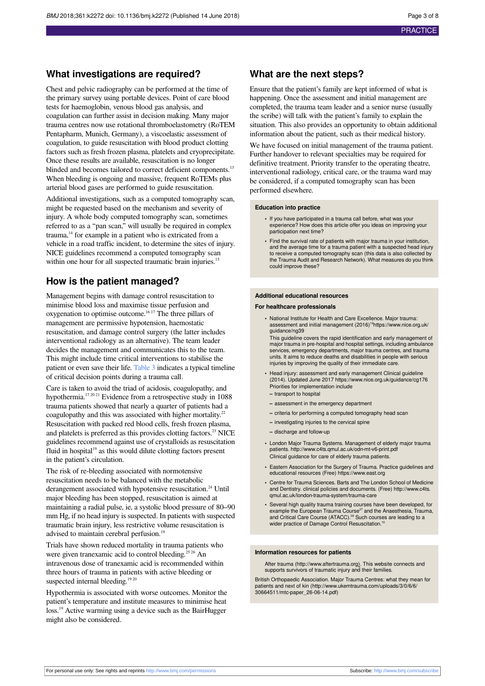### **What investigations are required?**

Chest and pelvic radiography can be performed at the time of the primary survey using portable devices. Point of care blood tests for haemoglobin, venous blood gas analysis, and coagulation can further assist in decision making. Many major trauma centres now use rotational thromboelastometry (RoTEM Pentapharm, Munich, Germany), a viscoelastic assessment of coagulation, to guide resuscitation with blood product clotting factors such as fresh frozen plasma, platelets and cryoprecipitate. Once these results are available, resuscitation is no longer blinded and becomes tailored to correct deficient components.<sup>13</sup> When bleeding is ongoing and massive, frequent RoTEMs plus arterial blood gases are performed to guide resuscitation.

Additional investigations, such as a computed tomography scan, might be requested based on the mechanism and severity of injury. A whole body computed tomography scan, sometimes referred to as a "pan scan," will usually be required in complex trauma, <sup>14</sup> for example in a patient who is extricated from a vehicle in a road traffic incident, to determine the sites of injury. NICE guidelines recommend a computed tomography scan within one hour for all suspected traumatic brain injuries.<sup>15</sup>

### **How is the patient managed?**

Management begins with damage control resuscitation to minimise blood loss and maximise tissue perfusion and oxygenation to optimise outcome. 16 17 The three pillars of management are permissive hypotension, haemostatic resuscitation, and damage control surgery (the latter includes interventional radiology as an alternative). The team leader decides the management and communicates this to the team. This might include time critical interventions to stabilise the patient or even save their life. [Table 3](#page-6-0) indicates a typical timeline of critical decision points during a trauma call.

Care is taken to avoid the triad of acidosis, coagulopathy, and hypothermia.<sup>17 20 21</sup> Evidence from a retrospective study in 1088 trauma patients showed that nearly a quarter of patients had a coagulopathy and this was associated with higher mortality.<sup>22</sup> Resuscitation with packed red blood cells, fresh frozen plasma, and platelets is preferred as this provides clotting factors. <sup>23</sup> NICE guidelines recommend against use of crystalloids as resuscitation fluid in hospital<sup>19</sup> as this would dilute clotting factors present in the patient's circulation.

The risk of re-bleeding associated with normotensive resuscitation needs to be balanced with the metabolic derangement associated with hypotensive resuscitation.<sup>24</sup> Until major bleeding has been stopped, resuscitation is aimed at maintaining a radial pulse, ie, a systolic blood pressure of 80–90 mm Hg, if no head injury is suspected. In patients with suspected traumatic brain injury, less restrictive volume resuscitation is advised to maintain cerebral perfusion.<sup>19</sup>

Trials have shown reduced mortality in trauma patients who were given tranexamic acid to control bleeding.<sup>25 26</sup> An intravenous dose of tranexamic acid is recommended within three hours of trauma in patients with active bleeding or suspected internal bleeding.<sup>19 20</sup>

Hypothermia is associated with worse outcomes. Monitor the patient's temperature and institute measures to minimise heat loss.<sup>19</sup> Active warming using a device such as the BairHugger might also be considered.

### **What are the next steps?**

Ensure that the patient's family are kept informed of what is happening. Once the assessment and initial management are completed, the trauma team leader and a senior nurse (usually the scribe) will talk with the patient's family to explain the situation. This also provides an opportunity to obtain additional information about the patient, such as their medical history.

We have focused on initial management of the trauma patient. Further handover to relevant specialties may be required for definitive treatment. Priority transfer to the operating theatre, interventional radiology, critical care, or the trauma ward may be considered, if a computed tomography scan has been performed elsewhere.

#### **Education into practice**

- **•** If you have participated in a trauma call before, what was your experience? How does this article offer you ideas on improving your participation next time?
- **•** Find the survival rate of patients with major trauma in your institution, and the average time for a trauma patient with a suspected head injury to receive a computed tomography scan (this data is also collected by the Trauma Audit and Research Network). What measures do you think could improve these?

#### **Additional educational resources**

#### **For healthcare professionals**

- **•** National Institute for Health and Care Excellence. Major trauma: assessment and initial management (2016)<sup>19</sup>https://www.nice.org.uk/ guidance/ng39
- This guideline covers the rapid identification and early management of major trauma in pre-hospital and hospital settings, including ambulance services, emergency departments, major trauma centres, and trauma units. It aims to reduce deaths and disabilities in people with serious injuries by improving the quality of their immediate care.
- **•** Head injury: assessment and early management Clinical guideline (2014). Updated June 2017 https://www.nice.org.uk/guidance/cg176 Priorities for implementation include **–** transport to hospital
- 
- **–** assessment in the emergency department
- **–** criteria for performing a computed tomography head scan
- **–** investigating injuries to the cervical spine
- **–** discharge and follow-up
- **•** London Major Trauma Systems. Management of elderly major trauma patients.<http://www.c4ts.qmul.ac.uk/odn-mt-v6-print.pdf> Clinical guidance for care of elderly trauma patients.
- **•** Eastern Association for the Surgery of Trauma. Practice guidelines and educational resources (Free) https://www.east.org
- **•** Centre for Trauma Sciences. Barts and The London School of Medicine and Dentistry. clinical policies and documents. (Free) [http://www.c4ts.](http://www.c4ts.qmul.ac.uk/london-trauma-system/trauma-care) [qmul.ac.uk/london-trauma-system/trauma-care](http://www.c4ts.qmul.ac.uk/london-trauma-system/trauma-care)
- **•** Several high quality trauma training courses have been developed, for example the European Trauma Course<sup>27</sup> and the Anaesthesia, Trauma,<br>and Critical Care Course (ATACC).<sup>28</sup> Such courses are leading to a wider practice of Damage Control Resuscitation.<sup>16</sup>

#### **Information resources for patients**

After trauma [\(http://www.aftertrauma.org\)](http://www.aftertrauma.org). This website connects and supports survivors of traumatic injury and their families.

British Orthopaedic Association. Major Trauma Centres: what they mean for patients and next of kin [\(http://www.ukemtrauma.com/uploads/3/0/6/6/](http://www.ukemtrauma.com/uploads/3/0/6/6/30664511/mtc-paper_26-06-14.pdf) [30664511/mtc-paper\\_26-06-14.pdf](http://www.ukemtrauma.com/uploads/3/0/6/6/30664511/mtc-paper_26-06-14.pdf))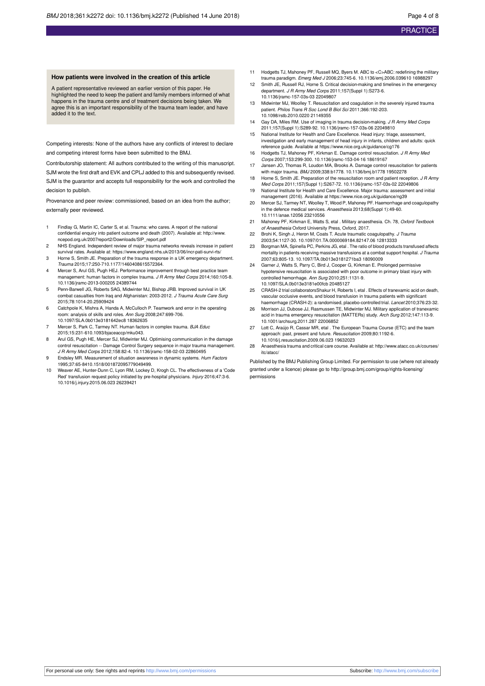#### **How patients were involved in the creation of this article**

A patient representative reviewed an earlier version of this paper. He highlighted the need to keep the patient and family members informed of what happens in the trauma centre and of treatment decisions being taken. We agree this is an important responsibility of the trauma team leader, and have added it to the text.

Competing interests: None of the authors have any conflicts of interest to declare and competing interest forms have been submitted to the BMJ.

Contributorship statement: All authors contributed to the writing of this manuscript. SJM wrote the first draft and EVK and CPLJ added to this and subsequently revised. SJM is the guarantor and accepts full responsibility for the work and controlled the decision to publish.

Provenance and peer review: commissioned, based on an idea from the author; externally peer reviewed.

- 1 Findlay G, Martin IC, Carter S, et al. Trauma: who cares. A report of the national confidential enquiry into patient outcome and death (2007). Available at: [http://www.](http://www.ncepod.org.uk/2007report2/Downloads/SIP_report.pdf) [ncepod.org.uk/2007report2/Downloads/SIP\\_report.pdf](http://www.ncepod.org.uk/2007report2/Downloads/SIP_report.pdf)
- 2 NHS England. Independent review of major trauma networks reveals increase in patient survival rates. Available at: https://www.england.nhs.uk/2013/06/incr-pati-survi-rts/
- 3 Horne S, Smith JE. Preparation of the trauma response in a UK emergency department. Trauma 2015;17:250-710.1177/1460408615572364.
- 4 Mercer S, Arul GS, Pugh HEJ. Performance improvement through best practice team management: human factors in complex trauma. J R Army Med Corps 2014;160:105-8. 10.1136/jramc-2013-000205 24389744
- 5 Penn-Barwell JG, Roberts SAG, Midwinter MJ, Bishop JRB. Improved survival in UK combat casualties from Iraq and Afghanistan: 2003-2012. J Trauma Acute Care Surg 2015;78:1014-20.25909424
- 6 Catchpole K, Mishra A, Handa A, McCulloch P. Teamwork and error in the operating room: analysis of skills and roles. Ann Surg 2008;247:699-706. 10.1097/SLA.0b013e3181642ec8 18362635
- 7 Mercer S, Park C, Tarmey NT. Human factors in complex trauma. BJA Educ 2015;15:231-610.1093/bjaceaccp/mku043.
- 8 Arul GS, Pugh HE, Mercer SJ, Midwinter MJ. Optimising communication in the damage control resuscitation -- Damage Control Surgery sequence in major trauma management. J R Army Med Corps 2012;158:82-4. 10.1136/jramc-158-02-03 22860495
- 9 Endsley MR. Measurement of situation awareness in dynamic systems. Hum Factors 1995;37:65-8410.1518/001872095779049499.
- 10 Weaver AE, Hunter-Dunn C, Lyon RM, Lockey D, Krogh CL. The effectiveness of a 'Code Red' transfusion request policy initiated by pre-hospital physicians. Injury 2016;47:3-6. 10.1016/j.injury.2015.06.023 26239421
- 11 Hodgetts TJ, Mahoney PF, Russell MQ, Byers M. ABC to <C>ABC: redefining the military trauma paradigm. Emerg Med J 2006;23:745-6. 10.1136/emj.2006.039610 16988297
- 12 Smith JE, Russell RJ, Horne S. Critical decision-making and timelines in the emergency department. J R Army Med Corps 2011;157(Suppl 1):S273-6. 10.1136/jramc-157-03s-03 22049807
- 13 Midwinter MJ, Woolley T. Resuscitation and coagulation in the severely injured trauma patient. Philos Trans R Soc Lond B Biol Sci 2011;366:192-203. 10.1098/rstb.2010.0220 21149355
- 14 Gay DA, Miles RM. Use of imaging in trauma decision-making, J R Army Med Corps 2011;157(Suppl 1):S289-92. 10.1136/jramc-157-03s-06 22049810
- 15 National Institute for Health and Care Excellence. Head injury: triage, asse investigation and early management of head injury in infants, children and adults: quick reference guide. Available at https://www.nice.org.uk/guidance/cg176
- 16 Hodgetts TJ, Mahoney PF, Kirkman E. Damage control resuscitation. J R Army Med Corps 2007;153:299-300. 10.1136/jramc-153-04-16 18619167
- 17 Jansen JO, Thomas R, Loudon MA, Brooks A. Damage control resuscitation for patients with major trauma. BMJ 2009;338:b1778. 10.1136/bmj.b1778 19502278
- 18 Horne S, Smith JE. Preparation of the resuscitation room and patient reception. J R Army Med Corps 2011;157(Suppl 1):S267-72. 10.1136/jramc-157-03s-02 22049806
- 19 National Institute for Health and Care Excellence. Major trauma: assessment and initial management (2016). Available at https://www.nice.org.uk/guidance/ng39
- 20 Mercer SJ, Tarmey NT, Woolley T, Wood P, Mahoney PF. Haemorrhage and coagulopathy in the defence medical services. Anaesthesia 2013;68(Suppl 1):49-60. 10.1111/anae.12056 23210556
- 21 Mahoney PF, Kirkman E, Watts S, etal . Military anaesthesia. Ch. 78, Oxford Textbook of Anaesthesia Oxford University Press, Oxford, 2017.
- 22 Brohi K, Singh J, Heron M, Coats T, Acute traumatic coagulopathy, J Trauma 2003;54:1127-30. 10.1097/01.TA.0000069184.82147.06 12813333
- 23 Borgman MA, Spinella PC, Perkins JG, etal . The ratio of blood products transfused affects mortality in patients receiving massive transfusions at a combat support hospital. J Trauma 2007;63:805-13. 10.1097/TA.0b013e3181271ba3 18090009
- Garner J, Watts S, Parry C, Bird J, Cooper G, Kirkman E. Prolonged permissive hypotensive resuscitation is associated with poor outcome in primary blast injury with controlled hemorrhage. Ann Surg 2010;251:1131-9. 10.1097/SLA.0b013e3181e00fcb 20485127
- 25 CRASH-2 trial collaboratorsShakur H, Roberts I, etal . Effects of tranexamic acid on death, vascular occlusive events, and blood transfusion in trauma patients with significan haemorrhage (CRASH-2): a randomised, placebo-controlled trial. Lancet 2010;376:23-32.
- 26 Morrison JJ, Dubose JJ, Rasmussen TE, Midwinter MJ. Military application of tranexamic acid in trauma emergency resuscitation (MATTERs) study. Arch Surg 2012;147:113-9. 10.1001/archsurg.2011.287 22006852
- 27 Lott C, Araújo R, Cassar MR, etal . The European Trauma Course (ETC) and the team approach: past, present and future. Resuscitation 2009;80:1192-6. 10.1016/j.resuscitation.2009.06.023 19632023
- 28 Anaesthesia trauma and critical care course. Available at: [http://www.atacc.co.uk/courses/](http://www.atacc.co.uk/courses/itc/atacc/) [itc/atacc/](http://www.atacc.co.uk/courses/itc/atacc/)

Published by the BMJ Publishing Group Limited. For permission to use (where not already granted under a licence) please go to [http://group.bmj.com/group/rights-licensing/](http://group.bmj.com/group/rights-licensing/permissions) [permissions](http://group.bmj.com/group/rights-licensing/permissions)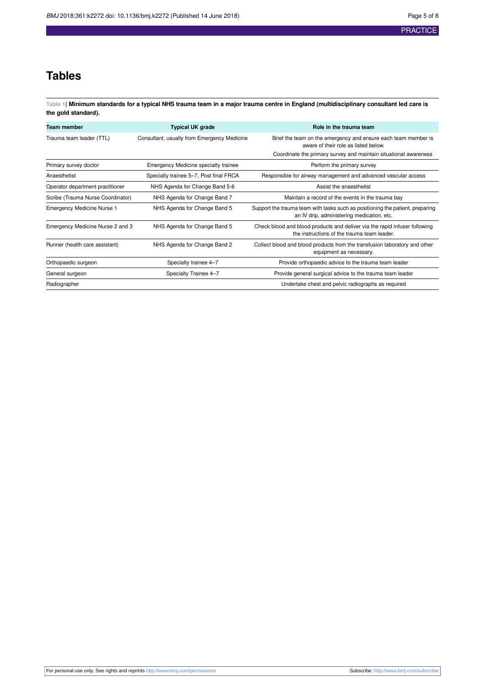## **Tables**

<span id="page-4-0"></span>**Table 1| Minimum standards for a typical NHS trauma team in a major trauma centre in England (multidisciplinary consultant led care is the gold standard).**

| Team member                       | <b>Typical UK grade</b>                     | Role in the trauma team                                                                                                     |
|-----------------------------------|---------------------------------------------|-----------------------------------------------------------------------------------------------------------------------------|
| Trauma team leader (TTL)          | Consultant, usually from Emergency Medicine | Brief the team on the emergency and ensure each team member is<br>aware of their role as listed below.                      |
|                                   |                                             | Coordinate the primary survey and maintain situational awareness                                                            |
| Primary survey doctor             | Emergency Medicine specialty trainee        | Perform the primary survey                                                                                                  |
| Anaesthetist                      | Specialty trainee 5–7, Post final FRCA      | Responsible for airway management and advanced vascular access                                                              |
| Operator department practitioner  | NHS Agenda for Change Band 5-6              | Assist the anaesthetist                                                                                                     |
| Scribe (Trauma Nurse Coordinator) | NHS Agenda for Change Band 7                | Maintain a record of the events in the trauma bay                                                                           |
| Emergency Medicine Nurse 1        | NHS Agenda for Change Band 5                | Support the trauma team with tasks such as positioning the patient, preparing<br>an IV drip, administering medication, etc. |
| Emergency Medicine Nurse 2 and 3  | NHS Agenda for Change Band 5                | Check blood and blood products and deliver via the rapid infuser following<br>the instructions of the trauma team leader.   |
| Runner (health care assistant)    | NHS Agenda for Change Band 2                | Collect blood and blood products from the transfusion laboratory and other<br>equipment as necessary.                       |
| Orthopaedic surgeon               | Specialty trainee 4-7                       | Provide orthopaedic advice to the trauma team leader                                                                        |
| General surgeon                   | Specialty Trainee 4-7                       | Provide general surgical advice to the trauma team leader                                                                   |
| Radiographer                      |                                             | Undertake chest and pelvic radiographs as required                                                                          |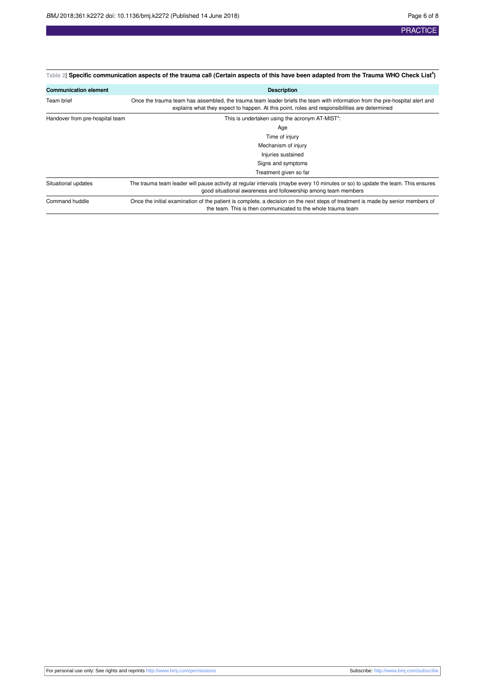<span id="page-5-0"></span>

| Table 2  Specific communication aspects of the trauma call (Certain aspects of this have been adapted from the Trauma WHO Check List <sup>8</sup> ) |                                                                                                                                                                                                                              |  |  |
|-----------------------------------------------------------------------------------------------------------------------------------------------------|------------------------------------------------------------------------------------------------------------------------------------------------------------------------------------------------------------------------------|--|--|
| <b>Communication element</b>                                                                                                                        | <b>Description</b>                                                                                                                                                                                                           |  |  |
| Team brief                                                                                                                                          | Once the trauma team has assembled, the trauma team leader briefs the team with information from the pre-hospital alert and<br>explains what they expect to happen. At this point, roles and responsibilities are determined |  |  |
| Handover from pre-hospital team                                                                                                                     | This is undertaken using the acronym AT-MIST <sup>4</sup> :                                                                                                                                                                  |  |  |
|                                                                                                                                                     | Age                                                                                                                                                                                                                          |  |  |
|                                                                                                                                                     | Time of injury                                                                                                                                                                                                               |  |  |
|                                                                                                                                                     | Mechanism of injury                                                                                                                                                                                                          |  |  |
|                                                                                                                                                     | Injuries sustained                                                                                                                                                                                                           |  |  |
|                                                                                                                                                     | Signs and symptoms                                                                                                                                                                                                           |  |  |
|                                                                                                                                                     | Treatment given so far                                                                                                                                                                                                       |  |  |
| Situational updates                                                                                                                                 | The trauma team leader will pause activity at regular intervals (maybe every 10 minutes or so) to update the team. This ensures<br>good situational awareness and followership among team members                            |  |  |
| Command huddle                                                                                                                                      | Once the initial examination of the patient is complete, a decision on the next steps of treatment is made by senior members of<br>the team. This is then communicated to the whole trauma team                              |  |  |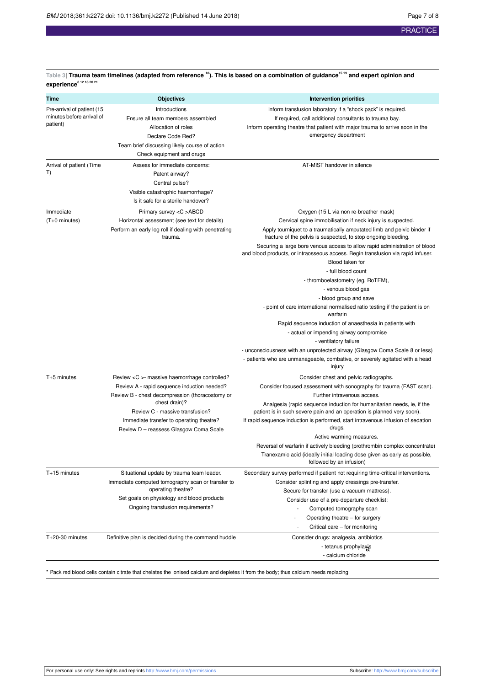| <b>Objectives</b>                                                                                                                                                                                                                                                                                        | <b>Intervention priorities</b>                                                                                                                                                                                                                                                                                                                                                                                                                                                                                                                                                                                                                                                                                                                                                                                                                                                                                                              |
|----------------------------------------------------------------------------------------------------------------------------------------------------------------------------------------------------------------------------------------------------------------------------------------------------------|---------------------------------------------------------------------------------------------------------------------------------------------------------------------------------------------------------------------------------------------------------------------------------------------------------------------------------------------------------------------------------------------------------------------------------------------------------------------------------------------------------------------------------------------------------------------------------------------------------------------------------------------------------------------------------------------------------------------------------------------------------------------------------------------------------------------------------------------------------------------------------------------------------------------------------------------|
| Introductions<br>Ensure all team members assembled<br>Allocation of roles<br>Declare Code Red?<br>Team brief discussing likely course of action<br>Check equipment and drugs                                                                                                                             | Inform transfusion laboratory if a "shock pack" is required.<br>If required, call additional consultants to trauma bay.<br>Inform operating theatre that patient with major trauma to arrive soon in the<br>emergency department                                                                                                                                                                                                                                                                                                                                                                                                                                                                                                                                                                                                                                                                                                            |
| Assess for immediate concerns:<br>Patent airway?<br>Central pulse?<br>Visible catastrophic haemorrhage?<br>Is it safe for a sterile handover?                                                                                                                                                            | AT-MIST handover in silence                                                                                                                                                                                                                                                                                                                                                                                                                                                                                                                                                                                                                                                                                                                                                                                                                                                                                                                 |
| Primary survey < C > ABCD<br>Horizontal assessment (see text for details)<br>Perform an early log roll if dealing with penetrating<br>trauma.                                                                                                                                                            | Oxygen (15 L via non re-breather mask)<br>Cervical spine immobilisation if neck injury is suspected.<br>Apply tourniquet to a traumatically amputated limb and pelvic binder if<br>fracture of the pelvis is suspected, to stop ongoing bleeding.<br>Securing a large bore venous access to allow rapid administration of blood<br>and blood products, or intraosseous access. Begin transfusion via rapid infuser.<br>Blood taken for<br>- full blood count<br>- thromboelastometry (eg, RoTEM),<br>- venous blood gas<br>- blood group and save<br>- point of care international normalised ratio testing if the patient is on<br>warfarin<br>Rapid sequence induction of anaesthesia in patients with<br>- actual or impending airway compromise<br>- ventilatory failure<br>- unconsciousness with an unprotected airway (Glasgow Coma Scale 8 or less)<br>- patients who are unmanageable, combative, or severely agitated with a head |
| Review $\langle C \rangle$ - massive haemorrhage controlled?<br>Review A - rapid sequence induction needed?<br>Review B - chest decompression (thoracostomy or<br>chest drain)?<br>Review C - massive transfusion?<br>Immediate transfer to operating theatre?<br>Review D - reassess Glasgow Coma Scale | injury<br>Consider chest and pelvic radiographs.<br>Consider focused assessment with sonography for trauma (FAST scan).<br>Further intravenous access.<br>Analgesia (rapid sequence induction for humanitarian needs, ie, if the<br>patient is in such severe pain and an operation is planned very soon).<br>If rapid sequence induction is performed, start intravenous infusion of sedation<br>drugs.<br>Active warming measures.<br>Reversal of warfarin if actively bleeding (prothrombin complex concentrate)<br>Tranexamic acid (ideally initial loading dose given as early as possible,<br>followed by an infusion)                                                                                                                                                                                                                                                                                                                |
| Situational update by trauma team leader.<br>Immediate computed tomography scan or transfer to<br>operating theatre?<br>Set goals on physiology and blood products<br>Ongoing transfusion requirements?                                                                                                  | Secondary survey performed if patient not requiring time-critical interventions.<br>Consider splinting and apply dressings pre-transfer.<br>Secure for transfer (use a vacuum mattress).<br>Consider use of a pre-departure checklist:<br>Computed tomography scan<br>Operating theatre - for surgery<br>Critical care - for monitoring                                                                                                                                                                                                                                                                                                                                                                                                                                                                                                                                                                                                     |
|                                                                                                                                                                                                                                                                                                          |                                                                                                                                                                                                                                                                                                                                                                                                                                                                                                                                                                                                                                                                                                                                                                                                                                                                                                                                             |

<span id="page-6-0"></span>**Table 3| Trauma team timelines (adapted from reference <sup>18</sup>). This is based on a combination of guidance15 19 and expert opinion and**